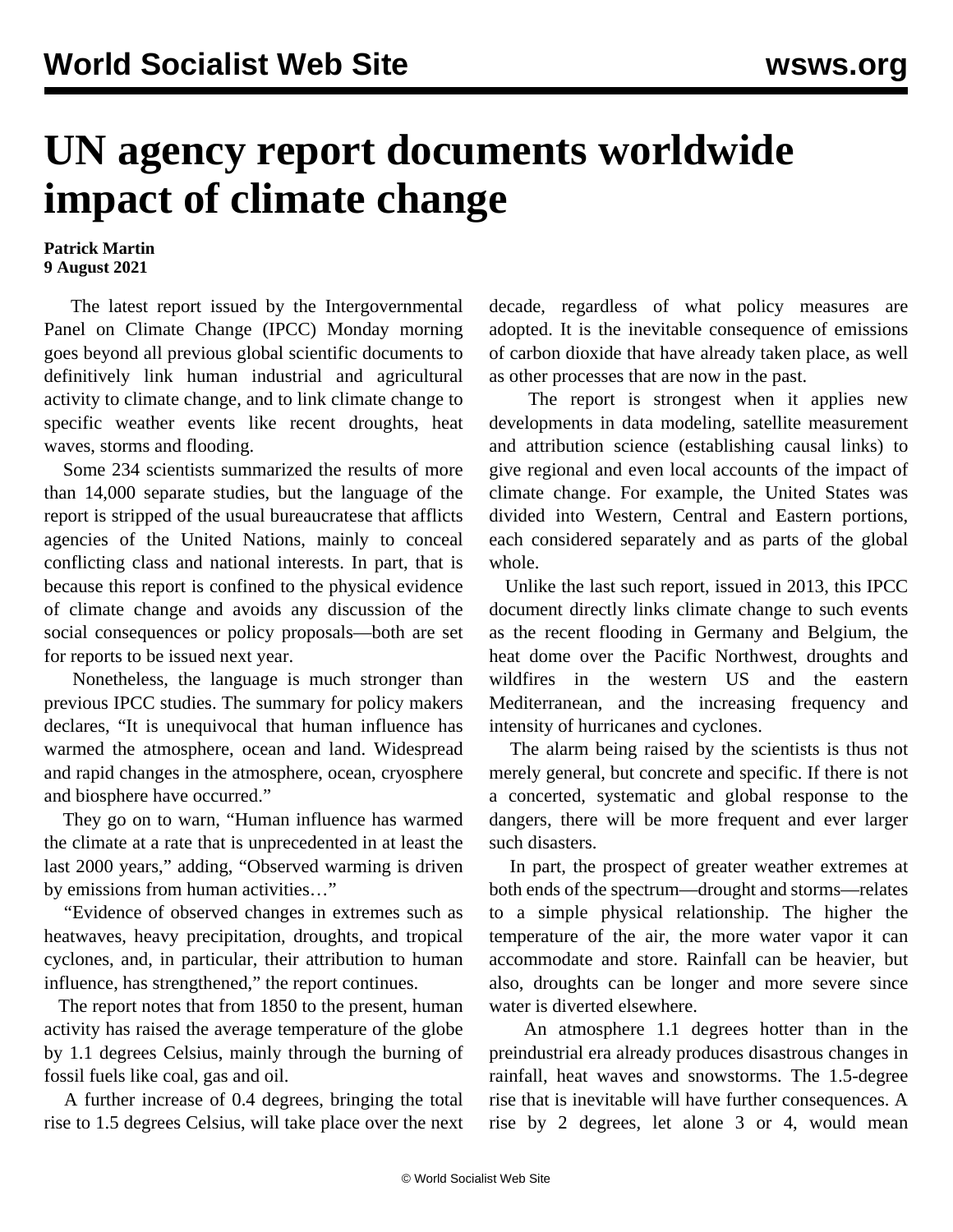## **UN agency report documents worldwide impact of climate change**

## **Patrick Martin 9 August 2021**

 The latest report issued by the Intergovernmental Panel on Climate Change (IPCC) Monday morning goes beyond all previous global scientific documents to definitively link human industrial and agricultural activity to climate change, and to link climate change to specific weather events like recent droughts, heat waves, storms and flooding.

 Some 234 scientists summarized the results of more than 14,000 separate studies, but the language of the report is stripped of the usual bureaucratese that afflicts agencies of the United Nations, mainly to conceal conflicting class and national interests. In part, that is because this report is confined to the physical evidence of climate change and avoids any discussion of the social consequences or policy proposals—both are set for reports to be issued next year.

 Nonetheless, the language is much stronger than previous IPCC studies. The summary for policy makers declares, "It is unequivocal that human influence has warmed the atmosphere, ocean and land. Widespread and rapid changes in the atmosphere, ocean, cryosphere and biosphere have occurred."

 They go on to warn, "Human influence has warmed the climate at a rate that is unprecedented in at least the last 2000 years," adding, "Observed warming is driven by emissions from human activities…"

 "Evidence of observed changes in extremes such as heatwaves, heavy precipitation, droughts, and tropical cyclones, and, in particular, their attribution to human influence, has strengthened," the report continues.

 The report notes that from 1850 to the present, human activity has raised the average temperature of the globe by 1.1 degrees Celsius, mainly through the burning of fossil fuels like coal, gas and oil.

 A further increase of 0.4 degrees, bringing the total rise to 1.5 degrees Celsius, will take place over the next decade, regardless of what policy measures are adopted. It is the inevitable consequence of emissions of carbon dioxide that have already taken place, as well as other processes that are now in the past.

 The report is strongest when it applies new developments in data modeling, satellite measurement and attribution science (establishing causal links) to give regional and even local accounts of the impact of climate change. For example, the United States was divided into Western, Central and Eastern portions, each considered separately and as parts of the global whole.

 Unlike the last such report, issued in 2013, this IPCC document directly links climate change to such events as the recent flooding in Germany and Belgium, the heat dome over the Pacific Northwest, droughts and wildfires in the western US and the eastern Mediterranean, and the increasing frequency and intensity of hurricanes and cyclones.

 The alarm being raised by the scientists is thus not merely general, but concrete and specific. If there is not a concerted, systematic and global response to the dangers, there will be more frequent and ever larger such disasters.

 In part, the prospect of greater weather extremes at both ends of the spectrum—drought and storms—relates to a simple physical relationship. The higher the temperature of the air, the more water vapor it can accommodate and store. Rainfall can be heavier, but also, droughts can be longer and more severe since water is diverted elsewhere.

 An atmosphere 1.1 degrees hotter than in the preindustrial era already produces disastrous changes in rainfall, heat waves and snowstorms. The 1.5-degree rise that is inevitable will have further consequences. A rise by 2 degrees, let alone 3 or 4, would mean